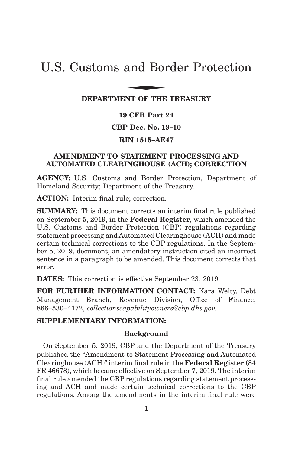# U.S. Customs and Border Protection and Bor

#### **DEPARTMENT OF THE TREASURY**

## **19 CFR Part 24**

#### **CBP Dec. No. 19–10**

## **RIN 1515–AE47**

#### **AMENDMENT TO STATEMENT PROCESSING AND AUTOMATED CLEARINGHOUSE (ACH); CORRECTION**

**AGENCY:** U.S. Customs and Border Protection, Department of Homeland Security; Department of the Treasury.

**ACTION:** Interim final rule; correction.

**SUMMARY:** This document corrects an interim final rule published on September 5, 2019, in the **Federal Register**, which amended the U.S. Customs and Border Protection (CBP) regulations regarding statement processing and Automated Clearinghouse (ACH) and made certain technical corrections to the CBP regulations. In the September 5, 2019, document, an amendatory instruction cited an incorrect sentence in a paragraph to be amended. This document corrects that error.

**DATES:** This correction is effective September 23, 2019.

**FOR FURTHER INFORMATION CONTACT:** Kara Welty, Debt Management Branch, Revenue Division, Office of Finance, 866–530–4172, *collectionscapabilityowners@cbp.dhs.gov.*

#### **SUPPLEMENTARY INFORMATION:**

#### **Background**

On September 5, 2019, CBP and the Department of the Treasury published the ''Amendment to Statement Processing and Automated Clearinghouse (ACH)'' interim final rule in the **Federal Register** (84 FR 46678), which became effective on September 7, 2019. The interim final rule amended the CBP regulations regarding statement processing and ACH and made certain technical corrections to the CBP regulations. Among the amendments in the interim final rule were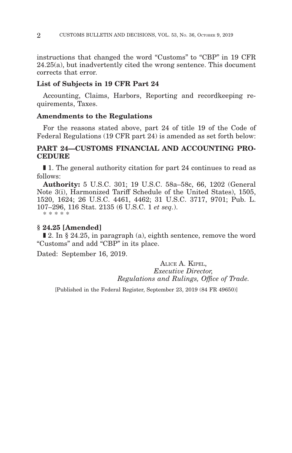instructions that changed the word "Customs" to "CBP" in 19 CFR 24.25(a), but inadvertently cited the wrong sentence. This document corrects that error.

#### **List of Subjects in 19 CFR Part 24**

Accounting, Claims, Harbors, Reporting and recordkeeping requirements, Taxes.

#### **Amendments to the Regulations**

For the reasons stated above, part 24 of title 19 of the Code of Federal Regulations (19 CFR part 24) is amended as set forth below:

## **PART 24—CUSTOMS FINANCIAL AND ACCOUNTING PRO-CEDURE**

■ 1. The general authority citation for part 24 continues to read as follows:

**Authority:** 5 U.S.C. 301; 19 U.S.C. 58a–58c, 66, 1202 (General Note 3(i), Harmonized Tariff Schedule of the United States), 1505, 1520, 1624; 26 U.S.C. 4461, 4462; 31 U.S.C. 3717, 9701; Pub. L. 107–296, 116 Stat. 2135 (6 U.S.C. 1 *et seq.*). \* \* \* \* \*

## **§ 24.25 [Amended]**

 $\blacksquare$  2. In § 24.25, in paragraph (a), eighth sentence, remove the word ''Customs'' and add ''CBP'' in its place.

Dated: September 16, 2019.

ALICE A. KIPEL, *Executive Director, Regulations and Rulings, Office of Trade.*

[Published in the Federal Register, September 23, 2019 (84 FR 49650)]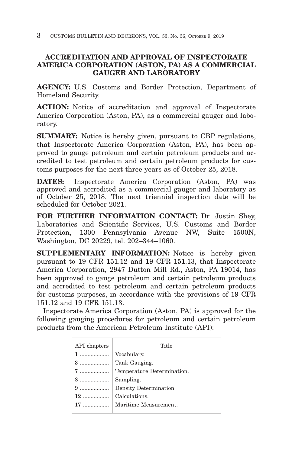# **ACCREDITATION AND APPROVAL OF INSPECTORATE AMERICA CORPORATION (ASTON, PA) AS A COMMERCIAL GAUGER AND LABORATORY**

**AGENCY:** U.S. Customs and Border Protection, Department of Homeland Security.

**ACTION:** Notice of accreditation and approval of Inspectorate America Corporation (Aston, PA), as a commercial gauger and laboratory.

**SUMMARY:** Notice is hereby given, pursuant to CBP regulations, that Inspectorate America Corporation (Aston, PA), has been approved to gauge petroleum and certain petroleum products and accredited to test petroleum and certain petroleum products for customs purposes for the next three years as of October 25, 2018.

**DATES:** Inspectorate America Corporation (Aston, PA) was approved and accredited as a commercial gauger and laboratory as of October 25, 2018. The next triennial inspection date will be scheduled for October 2021.

**FOR FURTHER INFORMATION CONTACT:** Dr. Justin Shey, Laboratories and Scientific Services, U.S. Customs and Border Protection, 1300 Pennsylvania Avenue NW, Suite 1500N, Washington, DC 20229, tel. 202–344–1060.

**SUPPLEMENTARY INFORMATION:** Notice is hereby given pursuant to 19 CFR 151.12 and 19 CFR 151.13, that Inspectorate America Corporation, 2947 Dutton Mill Rd., Aston, PA 19014, has been approved to gauge petroleum and certain petroleum products and accredited to test petroleum and certain petroleum products for customs purposes, in accordance with the provisions of 19 CFR 151.12 and 19 CFR 151.13.

Inspectorate America Corporation (Aston, PA) is approved for the following gauging procedures for petroleum and certain petroleum products from the American Petroleum Institute (API):

| API chapters | Title                      |
|--------------|----------------------------|
|              | Vocabulary.                |
| 3            | Tank Gauging.              |
|              | Temperature Determination. |
| 8            | Sampling.                  |
|              | Density Determination.     |
| $12$         | Calculations.              |
|              | Maritime Measurement.      |
|              |                            |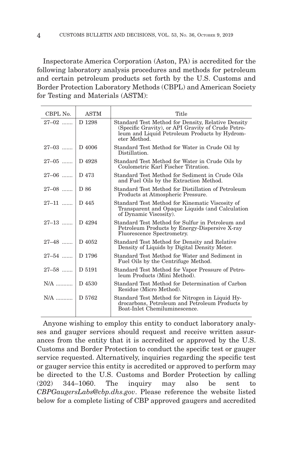Inspectorate America Corporation (Aston, PA) is accredited for the following laboratory analysis procedures and methods for petroleum and certain petroleum products set forth by the U.S. Customs and Border Protection Laboratory Methods (CBPL) and American Society for Testing and Materials (ASTM):

| CBPL No.           | <b>ASTM</b> | Title                                                                                                                                                                     |
|--------------------|-------------|---------------------------------------------------------------------------------------------------------------------------------------------------------------------------|
| $27 - 02$          | D 1298      | Standard Test Method for Density, Relative Density<br>(Specific Gravity), or API Gravity of Crude Petro-<br>leum and Liquid Petroleum Products by Hydrom-<br>eter Method. |
| $27-03$   D 4006   |             | Standard Test Method for Water in Crude Oil by<br>Distillation.                                                                                                           |
| $27-05$ D 4928     |             | Standard Test Method for Water in Crude Oils by<br>Coulometric Karl Fischer Titration.                                                                                    |
| $27-06$   D 473    |             | Standard Test Method for Sediment in Crude Oils<br>and Fuel Oils by the Extraction Method.                                                                                |
| $27-08$ D 86       |             | Standard Test Method for Distillation of Petroleum<br>Products at Atmospheric Pressure.                                                                                   |
| 27-11  D 445       |             | Standard Test Method for Kinematic Viscosity of<br>Transparent and Opaque Liquids (and Calculation<br>of Dynamic Viscosity).                                              |
| $27-13$   D 4294   |             | Standard Test Method for Sulfur in Petroleum and<br>Petroleum Products by Energy-Dispersive X-ray<br>Fluorescence Spectrometry.                                           |
| 27-48  D 4052      |             | Standard Test Method for Density and Relative<br>Density of Liquids by Digital Density Meter.                                                                             |
| 27-54  D 1796      |             | Standard Test Method for Water and Sediment in<br>Fuel Oils by the Centrifuge Method.                                                                                     |
| $27 - 58$   D 5191 |             | Standard Test Method for Vapor Pressure of Petro-<br>leum Products (Mini Method).                                                                                         |
| $N/A$   D 4530     |             | Standard Test Method for Determination of Carbon<br>Residue (Micro Method).                                                                                               |
|                    |             | Standard Test Method for Nitrogen in Liquid Hy-<br>drocarbons, Petroleum and Petroleum Products by<br>Boat-Inlet Chemiluminescence.                                       |

Anyone wishing to employ this entity to conduct laboratory analyses and gauger services should request and receive written assurances from the entity that it is accredited or approved by the U.S. Customs and Border Protection to conduct the specific test or gauger service requested. Alternatively, inquiries regarding the specific test or gauger service this entity is accredited or approved to perform may be directed to the U.S. Customs and Border Protection by calling (202) 344–1060. The inquiry may also be sent to *CBPGaugersLabs@cbp.dhs.gov*. Please reference the website listed below for a complete listing of CBP approved gaugers and accredited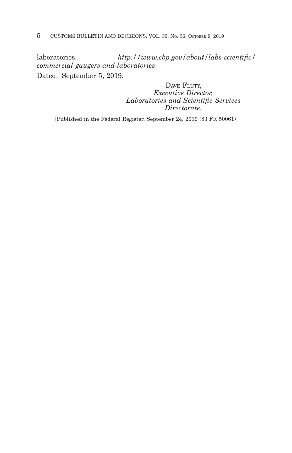laboratories. *http://www.cbp.gov/about/labs-scientific/ commercial-gaugers-and-laboratories*. Dated: September 5, 2019.

> DAVE FLUTY, *Executive Director, Laboratories and Scientific Services Directorate.*

[Published in the Federal Register, September 24, 2019 (83 FR 50061)]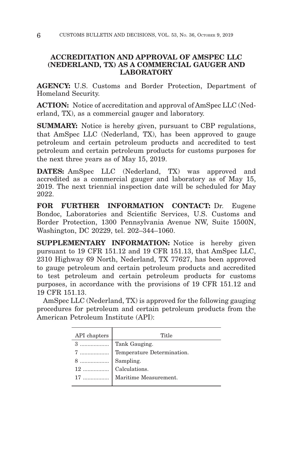# **ACCREDITATION AND APPROVAL OF AMSPEC LLC (NEDERLAND, TX) AS A COMMERCIAL GAUGER AND LABORATORY**

**AGENCY:** U.S. Customs and Border Protection, Department of Homeland Security.

**ACTION:** Notice of accreditation and approval of AmSpec LLC (Nederland, TX), as a commercial gauger and laboratory.

**SUMMARY:** Notice is hereby given, pursuant to CBP regulations, that AmSpec LLC (Nederland, TX), has been approved to gauge petroleum and certain petroleum products and accredited to test petroleum and certain petroleum products for customs purposes for the next three years as of May 15, 2019.

**DATES:** AmSpec LLC (Nederland, TX) was approved and accredited as a commercial gauger and laboratory as of May 15, 2019. The next triennial inspection date will be scheduled for May 2022.

**FOR FURTHER INFORMATION CONTACT:** Dr. Eugene Bondoc, Laboratories and Scientific Services, U.S. Customs and Border Protection, 1300 Pennsylvania Avenue NW, Suite 1500N, Washington, DC 20229, tel. 202–344–1060.

**SUPPLEMENTARY INFORMATION:** Notice is hereby given pursuant to 19 CFR 151.12 and 19 CFR 151.13, that AmSpec LLC, 2310 Highway 69 North, Nederland, TX 77627, has been approved to gauge petroleum and certain petroleum products and accredited to test petroleum and certain petroleum products for customs purposes, in accordance with the provisions of 19 CFR 151.12 and 19 CFR 151.13.

AmSpec LLC (Nederland, TX) is approved for the following gauging procedures for petroleum and certain petroleum products from the American Petroleum Institute (API):

| API chapters | Title                                                                                                                                                                                                                                                                                                                                                                                                                                                    |
|--------------|----------------------------------------------------------------------------------------------------------------------------------------------------------------------------------------------------------------------------------------------------------------------------------------------------------------------------------------------------------------------------------------------------------------------------------------------------------|
|              |                                                                                                                                                                                                                                                                                                                                                                                                                                                          |
|              | $\begin{tabular}{c c} {\bf 7} \,\, \ldots \,\, \ldots \,\, \ldots \,\, \ldots \,\, \ldots \,\, \ldots \,\, \ldots \,\, \ldots \,\, \ldots \,\, \ldots \,\, \ldots \,\, \ldots \,\, \ldots \,\, \ldots \,\, \ldots \,\, \ldots \,\, \ldots \,\, \ldots \,\, \ldots \,\, \ldots \,\, \ldots \,\, \ldots \,\, \ldots \,\, \ldots \,\, \ldots \,\, \ldots \,\, \ldots \,\, \ldots \,\, \ldots \,\, \ldots \,\, \ldots \,\, \ldots \,\, \ldots \,\, \ldots \$ |
|              |                                                                                                                                                                                                                                                                                                                                                                                                                                                          |
|              |                                                                                                                                                                                                                                                                                                                                                                                                                                                          |
|              | 17    Maritime Measurement.                                                                                                                                                                                                                                                                                                                                                                                                                              |
|              |                                                                                                                                                                                                                                                                                                                                                                                                                                                          |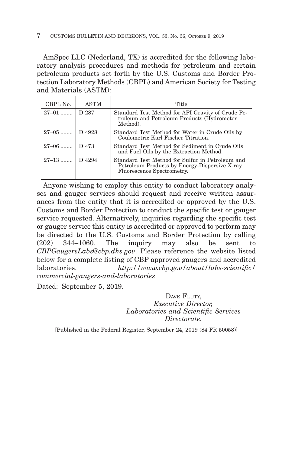AmSpec LLC (Nederland, TX) is accredited for the following laboratory analysis procedures and methods for petroleum and certain petroleum products set forth by the U.S. Customs and Border Protection Laboratory Methods (CBPL) and American Society for Testing and Materials (ASTM):

| CBPL No.         | <b>ASTM</b> | Title                                                                                                                           |
|------------------|-------------|---------------------------------------------------------------------------------------------------------------------------------|
| $27-01$   D 287  |             | Standard Test Method for API Gravity of Crude Pe-<br>troleum and Petroleum Products (Hydrometer<br>Method).                     |
| $27-05$   D 4928 |             | Standard Test Method for Water in Crude Oils by<br>Coulometric Karl Fischer Titration.                                          |
| $27-06$   D 473  |             | Standard Test Method for Sediment in Crude Oils<br>and Fuel Oils by the Extraction Method.                                      |
| $27-13$          | D 4294      | Standard Test Method for Sulfur in Petroleum and<br>Petroleum Products by Energy-Dispersive X-ray<br>Fluorescence Spectrometry. |

Anyone wishing to employ this entity to conduct laboratory analyses and gauger services should request and receive written assurances from the entity that it is accredited or approved by the U.S. Customs and Border Protection to conduct the specific test or gauger service requested. Alternatively, inquiries regarding the specific test or gauger service this entity is accredited or approved to perform may be directed to the U.S. Customs and Border Protection by calling (202) 344–1060. The inquiry may also be sent to *CBPGaugersLabs@cbp.dhs.gov*. Please reference the website listed below for a complete listing of CBP approved gaugers and accredited laboratories. *http://www.cbp.gov/about/labs-scientific/ commercial-gaugers-and-laboratories*

Dated: September 5, 2019.

DAVE FLUTY, *Executive Director, Laboratories and Scientific Services Directorate.*

[Published in the Federal Register, September 24, 2019 (84 FR 50058)]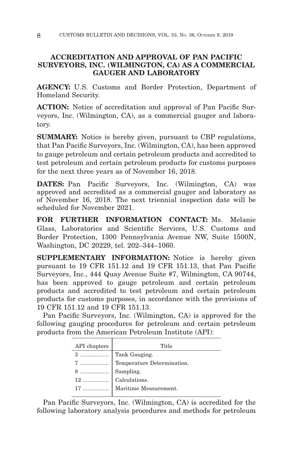# **ACCREDITATION AND APPROVAL OF PAN PACIFIC SURVEYORS, INC. (WILMINGTON, CA) AS A COMMERCIAL GAUGER AND LABORATORY**

**AGENCY:** U.S. Customs and Border Protection, Department of Homeland Security.

**ACTION:** Notice of accreditation and approval of Pan Pacific Surveyors, Inc. (Wilmington, CA), as a commercial gauger and laboratory.

**SUMMARY:** Notice is hereby given, pursuant to CBP regulations, that Pan Pacific Surveyors, Inc. (Wilmington, CA), has been approved to gauge petroleum and certain petroleum products and accredited to test petroleum and certain petroleum products for customs purposes for the next three years as of November 16, 2018.

**DATES:** Pan Pacific Surveyors, Inc. (Wilmington, CA) was approved and accredited as a commercial gauger and laboratory as of November 16, 2018. The next triennial inspection date will be scheduled for November 2021.

**FOR FURTHER INFORMATION CONTACT:** Ms. Melanie Glass, Laboratories and Scientific Services, U.S. Customs and Border Protection, 1300 Pennsylvania Avenue NW, Suite 1500N, Washington, DC 20229, tel. 202–344–1060.

**SUPPLEMENTARY INFORMATION:** Notice is hereby given pursuant to 19 CFR 151.12 and 19 CFR 151.13, that Pan Pacific Surveyors, Inc., 444 Quay Avenue Suite #7, Wilmington, CA 90744, has been approved to gauge petroleum and certain petroleum products and accredited to test petroleum and certain petroleum products for customs purposes, in accordance with the provisions of 19 CFR 151.12 and 19 CFR 151.13.

Pan Pacific Surveyors, Inc. (Wilmington, CA) is approved for the following gauging procedures for petroleum and certain petroleum products from the American Petroleum Institute (API):

| API chapters | Title |
|--------------|-------|
|              |       |
|              |       |
|              |       |
|              |       |
|              |       |
|              |       |

Pan Pacific Surveyors, Inc. (Wilmington, CA) is accredited for the following laboratory analysis procedures and methods for petroleum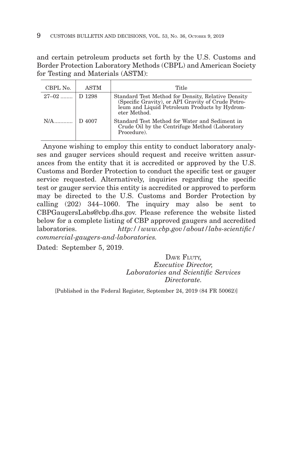and certain petroleum products set forth by the U.S. Customs and Border Protection Laboratory Methods (CBPL) and American Society for Testing and Materials (ASTM):

| CBPL No.         | <b>ASTM</b> | Title                                                                                                                                                                     |
|------------------|-------------|---------------------------------------------------------------------------------------------------------------------------------------------------------------------------|
| $27-02$   D 1298 |             | Standard Test Method for Density, Relative Density<br>(Specific Gravity), or API Gravity of Crude Petro-<br>leum and Liquid Petroleum Products by Hydrom-<br>eter Method. |
|                  |             | Standard Test Method for Water and Sediment in<br>Crude Oil by the Centrifuge Method (Laboratory<br>Procedure).                                                           |

Anyone wishing to employ this entity to conduct laboratory analyses and gauger services should request and receive written assurances from the entity that it is accredited or approved by the U.S. Customs and Border Protection to conduct the specific test or gauger service requested. Alternatively, inquiries regarding the specific test or gauger service this entity is accredited or approved to perform may be directed to the U.S. Customs and Border Protection by calling (202) 344–1060. The inquiry may also be sent to CBPGaugersLabs@cbp.dhs.gov. Please reference the website listed below for a complete listing of CBP approved gaugers and accredited laboratories. *http://www.cbp.gov/about/labs-scientific/ commercial-gaugers-and-laboratories.*

Dated: September 5, 2019.

DAVE FLUTY, *Executive Director, Laboratories and Scientific Services Directorate.*

[Published in the Federal Register, September 24, 2019 (84 FR 50062)]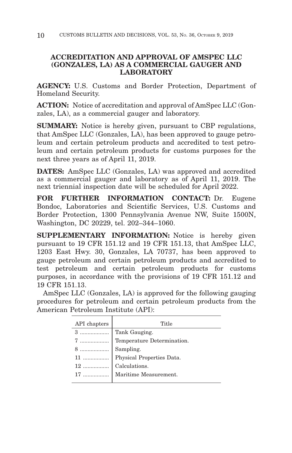# **ACCREDITATION AND APPROVAL OF AMSPEC LLC (GONZALES, LA) AS A COMMERCIAL GAUGER AND LABORATORY**

**AGENCY:** U.S. Customs and Border Protection, Department of Homeland Security.

**ACTION:** Notice of accreditation and approval of AmSpec LLC (Gonzales, LA), as a commercial gauger and laboratory.

**SUMMARY:** Notice is hereby given, pursuant to CBP regulations, that AmSpec LLC (Gonzales, LA), has been approved to gauge petroleum and certain petroleum products and accredited to test petroleum and certain petroleum products for customs purposes for the next three years as of April 11, 2019.

**DATES:** AmSpec LLC (Gonzales, LA) was approved and accredited as a commercial gauger and laboratory as of April 11, 2019. The next triennial inspection date will be scheduled for April 2022.

**FOR FURTHER INFORMATION CONTACT:** Dr. Eugene Bondoc, Laboratories and Scientific Services, U.S. Customs and Border Protection, 1300 Pennsylvania Avenue NW, Suite 1500N, Washington, DC 20229, tel. 202–344–1060.

**SUPPLEMENTARY INFORMATION:** Notice is hereby given pursuant to 19 CFR 151.12 and 19 CFR 151.13, that AmSpec LLC, 1203 East Hwy. 30, Gonzales, LA 70737, has been approved to gauge petroleum and certain petroleum products and accredited to test petroleum and certain petroleum products for customs purposes, in accordance with the provisions of 19 CFR 151.12 and 19 CFR 151.13.

AmSpec LLC (Gonzales, LA) is approved for the following gauging procedures for petroleum and certain petroleum products from the American Petroleum Institute (API):

| API chapters | Title                       |
|--------------|-----------------------------|
|              | Tank Gauging.               |
| 7            | Temperature Determination.  |
|              |                             |
|              |                             |
|              |                             |
|              | 17    Maritime Measurement. |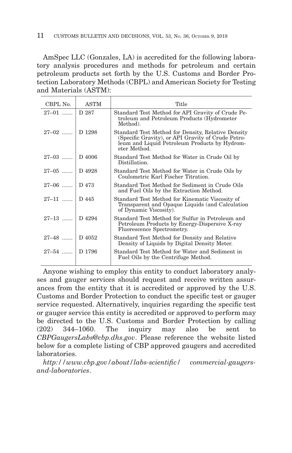AmSpec LLC (Gonzales, LA) is accredited for the following laboratory analysis procedures and methods for petroleum and certain petroleum products set forth by the U.S. Customs and Border Protection Laboratory Methods (CBPL) and American Society for Testing and Materials (ASTM):

| CBPL No.         | <b>ASTM</b> | Title                                                                                                                                                                    |
|------------------|-------------|--------------------------------------------------------------------------------------------------------------------------------------------------------------------------|
| $27-01$          | D 287       | Standard Test Method for API Gravity of Crude Pe-<br>troleum and Petroleum Products (Hydrometer<br>Method).                                                              |
| $27-02$ D 1298   |             | Standard Test Method for Density, Relative Density<br>(Specific Gravity), or API Gravity of Crude Petro-<br>leum and Liquid Petroleum Products by Hydrom-<br>eter Method |
| $27-03$   D 4006 |             | Standard Test Method for Water in Crude Oil by<br>Distillation.                                                                                                          |
| $27-05$   D 4928 |             | Standard Test Method for Water in Crude Oils by<br>Coulometric Karl Fischer Titration.                                                                                   |
| $27-06$   D 473  |             | Standard Test Method for Sediment in Crude Oils<br>and Fuel Oils by the Extraction Method.                                                                               |
| $27-11$ D 445    |             | Standard Test Method for Kinematic Viscosity of<br>Transparent and Opaque Liquids (and Calculation<br>of Dynamic Viscosity).                                             |
| $27-13$   D 4294 |             | Standard Test Method for Sulfur in Petroleum and<br>Petroleum Products by Energy-Dispersive X-ray<br>Fluorescence Spectrometry.                                          |
| $27-48$   D 4052 |             | Standard Test Method for Density and Relative<br>Density of Liquids by Digital Density Meter.                                                                            |
| $27-54$   D 1796 |             | Standard Test Method for Water and Sediment in<br>Fuel Oils by the Centrifuge Method.                                                                                    |

Anyone wishing to employ this entity to conduct laboratory analyses and gauger services should request and receive written assurances from the entity that it is accredited or approved by the U.S. Customs and Border Protection to conduct the specific test or gauger service requested. Alternatively, inquiries regarding the specific test or gauger service this entity is accredited or approved to perform may be directed to the U.S. Customs and Border Protection by calling (202) 344–1060. The inquiry may also be sent to *CBPGaugersLabs@cbp.dhs.gov*. Please reference the website listed below for a complete listing of CBP approved gaugers and accredited laboratories.

*http://www.cbp.gov/about/labs-scientific/ commercial-gaugersand-laboratories*.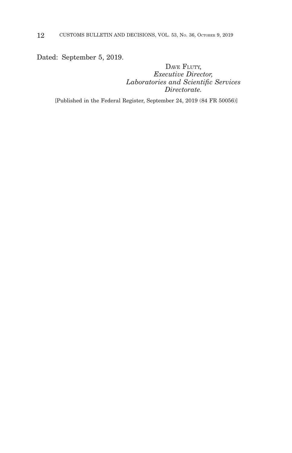Dated: September 5, 2019.

## DAVE FLUTY, *Executive Director, Laboratories and Scientific Services Directorate.*

[Published in the Federal Register, September 24, 2019 (84 FR 50056)]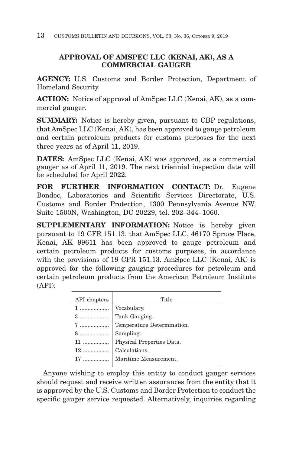# **APPROVAL OF AMSPEC LLC (KENAI, AK), AS A COMMERCIAL GAUGER**

**AGENCY:** U.S. Customs and Border Protection, Department of Homeland Security.

**ACTION:** Notice of approval of AmSpec LLC (Kenai, AK), as a commercial gauger.

**SUMMARY:** Notice is hereby given, pursuant to CBP regulations, that AmSpec LLC (Kenai, AK), has been approved to gauge petroleum and certain petroleum products for customs purposes for the next three years as of April 11, 2019.

**DATES:** AmSpec LLC (Kenai, AK) was approved, as a commercial gauger as of April 11, 2019. The next triennial inspection date will be scheduled for April 2022.

**FOR FURTHER INFORMATION CONTACT:** Dr. Eugene Bondoc, Laboratories and Scientific Services Directorate, U.S. Customs and Border Protection, 1300 Pennsylvania Avenue NW, Suite 1500N, Washington, DC 20229, tel. 202–344–1060.

**SUPPLEMENTARY INFORMATION:** Notice is hereby given pursuant to 19 CFR 151.13, that AmSpec LLC, 46170 Spruce Place, Kenai, AK 99611 has been approved to gauge petroleum and certain petroleum products for customs purposes, in accordance with the provisions of 19 CFR 151.13. AmSpec LLC (Kenai, AK) is approved for the following gauging procedures for petroleum and certain petroleum products from the American Petroleum Institute (API):

| Title                 |
|-----------------------|
|                       |
|                       |
|                       |
|                       |
|                       |
|                       |
| Maritime Measurement. |
|                       |

Anyone wishing to employ this entity to conduct gauger services should request and receive written assurances from the entity that it is approved by the U.S. Customs and Border Protection to conduct the specific gauger service requested. Alternatively, inquiries regarding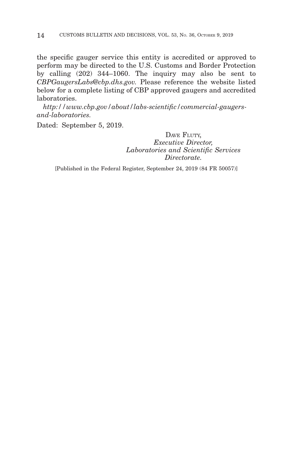the specific gauger service this entity is accredited or approved to perform may be directed to the U.S. Customs and Border Protection by calling (202) 344–1060. The inquiry may also be sent to *CBPGaugersLabs@cbp.dhs.gov.* Please reference the website listed below for a complete listing of CBP approved gaugers and accredited laboratories.

*http://www.cbp.gov/about/labs-scientific/commercial-gaugersand-laboratories.*

Dated: September 5, 2019.

DAVE FLUTY, *Executive Director, Laboratories and Scientific Services Directorate.*

[Published in the Federal Register, September 24, 2019 (84 FR 50057)]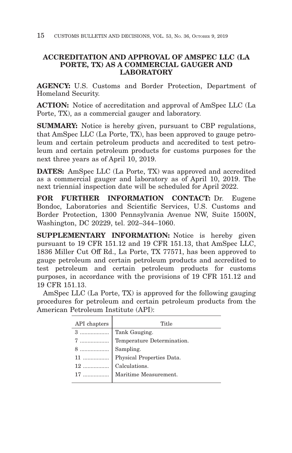# **ACCREDITATION AND APPROVAL OF AMSPEC LLC (LA PORTE, TX) AS A COMMERCIAL GAUGER AND LABORATORY**

**AGENCY:** U.S. Customs and Border Protection, Department of Homeland Security.

**ACTION:** Notice of accreditation and approval of AmSpec LLC (La Porte, TX), as a commercial gauger and laboratory.

**SUMMARY:** Notice is hereby given, pursuant to CBP regulations, that AmSpec LLC (La Porte, TX), has been approved to gauge petroleum and certain petroleum products and accredited to test petroleum and certain petroleum products for customs purposes for the next three years as of April 10, 2019.

**DATES:** AmSpec LLC (La Porte, TX) was approved and accredited as a commercial gauger and laboratory as of April 10, 2019. The next triennial inspection date will be scheduled for April 2022.

**FOR FURTHER INFORMATION CONTACT:** Dr. Eugene Bondoc, Laboratories and Scientific Services, U.S. Customs and Border Protection, 1300 Pennsylvania Avenue NW, Suite 1500N, Washington, DC 20229, tel. 202–344–1060.

**SUPPLEMENTARY INFORMATION:** Notice is hereby given pursuant to 19 CFR 151.12 and 19 CFR 151.13, that AmSpec LLC, 1836 Miller Cut Off Rd., La Porte, TX 77571, has been approved to gauge petroleum and certain petroleum products and accredited to test petroleum and certain petroleum products for customs purposes, in accordance with the provisions of 19 CFR 151.12 and 19 CFR 151.13.

AmSpec LLC (La Porte, TX) is approved for the following gauging procedures for petroleum and certain petroleum products from the American Petroleum Institute (API):

| API chapters | Title                       |
|--------------|-----------------------------|
|              | Tank Gauging.               |
| 7            | Temperature Determination.  |
|              |                             |
|              |                             |
|              |                             |
|              | 17    Maritime Measurement. |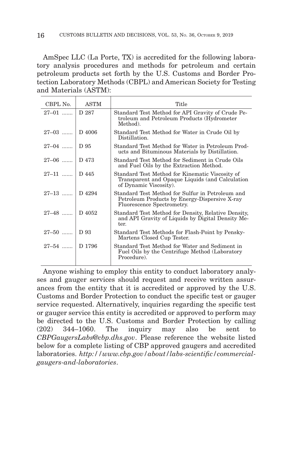AmSpec LLC (La Porte, TX) is accredited for the following laboratory analysis procedures and methods for petroleum and certain petroleum products set forth by the U.S. Customs and Border Protection Laboratory Methods (CBPL) and American Society for Testing and Materials (ASTM):

| CBPL No.         | ASTM  | Title                                                                                                                           |
|------------------|-------|---------------------------------------------------------------------------------------------------------------------------------|
| $27-01$          | D 287 | Standard Test Method for API Gravity of Crude Pe-<br>troleum and Petroleum Products (Hydrometer<br>Method).                     |
| $27-03$   D 4006 |       | Standard Test Method for Water in Crude Oil by<br>Distillation.                                                                 |
| $27-04$ D 95     |       | Standard Test Method for Water in Petroleum Prod-<br>ucts and Bituminous Materials by Distillation.                             |
| $27-06$   D 473  |       | Standard Test Method for Sediment in Crude Oils<br>and Fuel Oils by the Extraction Method.                                      |
| $27-11$   D 445  |       | Standard Test Method for Kinematic Viscosity of<br>Transparent and Opaque Liquids (and Calculation<br>of Dynamic Viscosity).    |
| $27-13$   D 4294 |       | Standard Test Method for Sulfur in Petroleum and<br>Petroleum Products by Energy-Dispersive X-ray<br>Fluorescence Spectrometry. |
| $27-48$   D 4052 |       | Standard Test Method for Density, Relative Density,<br>and API Gravity of Liquids by Digital Density Me-<br>ter.                |
| $27 - 50$   D 93 |       | Standard Test Methods for Flash-Point by Pensky-<br>Martens Closed Cup Tester.                                                  |
| 27-54  D 1796    |       | Standard Test Method for Water and Sediment in<br>Fuel Oils by the Centrifuge Method (Laboratory<br>Procedure).                 |

Anyone wishing to employ this entity to conduct laboratory analyses and gauger services should request and receive written assurances from the entity that it is accredited or approved by the U.S. Customs and Border Protection to conduct the specific test or gauger service requested. Alternatively, inquiries regarding the specific test or gauger service this entity is accredited or approved to perform may be directed to the U.S. Customs and Border Protection by calling (202) 344–1060. The inquiry may also be sent to *CBPGaugersLabs@cbp.dhs.gov*. Please reference the website listed below for a complete listing of CBP approved gaugers and accredited laboratories. *http://www.cbp.gov/about/labs-scientific/commercialgaugers-and-laboratories*.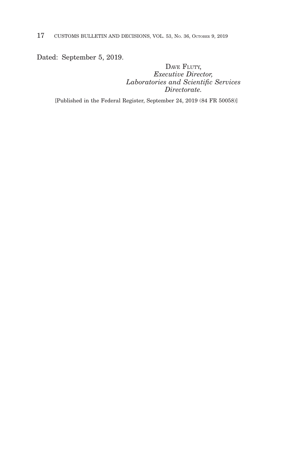Dated: September 5, 2019.

DAVE FLUTY, *Executive Director, Laboratories and Scientific Services Directorate.*

[Published in the Federal Register, September 24, 2019 (84 FR 50058)]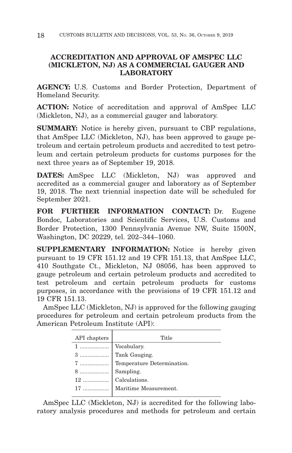# **ACCREDITATION AND APPROVAL OF AMSPEC LLC (MICKLETON, NJ) AS A COMMERCIAL GAUGER AND LABORATORY**

**AGENCY:** U.S. Customs and Border Protection, Department of Homeland Security.

**ACTION:** Notice of accreditation and approval of AmSpec LLC (Mickleton, NJ), as a commercial gauger and laboratory.

**SUMMARY:** Notice is hereby given, pursuant to CBP regulations, that AmSpec LLC (Mickleton, NJ), has been approved to gauge petroleum and certain petroleum products and accredited to test petroleum and certain petroleum products for customs purposes for the next three years as of September 19, 2018.

**DATES:** AmSpec LLC (Mickleton, NJ) was approved and accredited as a commercial gauger and laboratory as of September 19, 2018. The next triennial inspection date will be scheduled for September 2021.

**FOR FURTHER INFORMATION CONTACT:** Dr. Eugene Bondoc, Laboratories and Scientific Services, U.S. Customs and Border Protection, 1300 Pennsylvania Avenue NW, Suite 1500N, Washington, DC 20229, tel. 202–344–1060.

**SUPPLEMENTARY INFORMATION:** Notice is hereby given pursuant to 19 CFR 151.12 and 19 CFR 151.13, that AmSpec LLC, 410 Southgate Ct., Mickleton, NJ 08056, has been approved to gauge petroleum and certain petroleum products and accredited to test petroleum and certain petroleum products for customs purposes, in accordance with the provisions of 19 CFR 151.12 and 19 CFR 151.13.

AmSpec LLC (Mickleton, NJ) is approved for the following gauging procedures for petroleum and certain petroleum products from the American Petroleum Institute (API):

| API chapters                                                                                                                                                                          | Title                         |
|---------------------------------------------------------------------------------------------------------------------------------------------------------------------------------------|-------------------------------|
|                                                                                                                                                                                       |                               |
|                                                                                                                                                                                       |                               |
|                                                                                                                                                                                       | 7  Temperature Determination. |
| $\begin{array}{c c} \mathbf{8} \dots \dots \dots \dots \dots \dots \quad \text{Sampling.}\\ \mathbf{12} \dots \dots \dots \dots \dots \dots \quad \text{Calculations.}\\ \end{array}$ |                               |
|                                                                                                                                                                                       |                               |
|                                                                                                                                                                                       | 17    Maritime Measurement.   |
|                                                                                                                                                                                       |                               |

AmSpec LLC (Mickleton, NJ) is accredited for the following laboratory analysis procedures and methods for petroleum and certain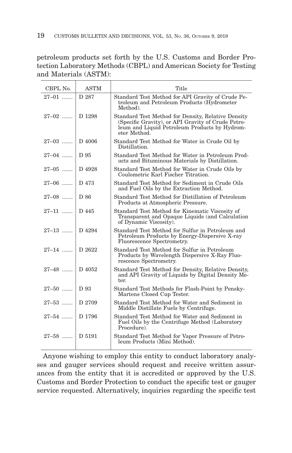petroleum products set forth by the U.S. Customs and Border Protection Laboratory Methods (CBPL) and American Society for Testing and Materials (ASTM):

| CBPL No.           | <b>ASTM</b> | Title                                                                                                                                                                     |
|--------------------|-------------|---------------------------------------------------------------------------------------------------------------------------------------------------------------------------|
| $27 - 01$          | D 287       | Standard Test Method for API Gravity of Crude Pe-<br>troleum and Petroleum Products (Hydrometer<br>Method).                                                               |
| $27-02$ D 1298     |             | Standard Test Method for Density, Relative Density<br>(Specific Gravity), or API Gravity of Crude Petro-<br>leum and Liquid Petroleum Products by Hydrom-<br>eter Method. |
| $27-03$   D 4006   |             | Standard Test Method for Water in Crude Oil by<br>Distillation.                                                                                                           |
| $27-04$ D 95       |             | Standard Test Method for Water in Petroleum Prod-<br>ucts and Bituminous Materials by Distillation.                                                                       |
| $27-05$   D 4928   |             | Standard Test Method for Water in Crude Oils by<br>Coulometric Karl Fischer Titration.                                                                                    |
| $27-06$   D 473    |             | Standard Test Method for Sediment in Crude Oils<br>and Fuel Oils by the Extraction Method.                                                                                |
| $27-08$ D 86       |             | Standard Test Method for Distillation of Petroleum<br>Products at Atmospheric Pressure.                                                                                   |
| $27-11$   D 445    |             | Standard Test Method for Kinematic Viscosity of<br>Transparent and Opaque Liquids (and Calculation<br>of Dynamic Viscosity).                                              |
| $27-13$   D 4294   |             | Standard Test Method for Sulfur in Petroleum and<br>Petroleum Products by Energy-Dispersive X-ray<br>Fluorescence Spectrometry.                                           |
| $27-14$ D 2622     |             | Standard Test Method for Sulfur in Petroleum<br>Products by Wavelength Dispersive X-Ray Fluo-<br>rescence Spectrometry.                                                   |
| $27-48$   D 4052   |             | Standard Test Method for Density, Relative Density,<br>and API Gravity of Liquids by Digital Density Me-<br>ter.                                                          |
| $27-50$ D 93       |             | Standard Test Methods for Flash-Point by Pensky-<br>Martens Closed Cup Tester.                                                                                            |
| 27–53  D 2709      |             | Standard Test Method for Water and Sediment in<br>Middle Distillate Fuels by Centrifuge.                                                                                  |
| $27 - 54$   D 1796 |             | Standard Test Method for Water and Sediment in<br>Fuel Oils by the Centrifuge Method (Laboratory<br>Procedure).                                                           |
| $27 - 58$   D 5191 |             | Standard Test Method for Vapor Pressure of Petro-<br>leum Products (Mini Method).                                                                                         |

Anyone wishing to employ this entity to conduct laboratory analyses and gauger services should request and receive written assurances from the entity that it is accredited or approved by the U.S. Customs and Border Protection to conduct the specific test or gauger service requested. Alternatively, inquiries regarding the specific test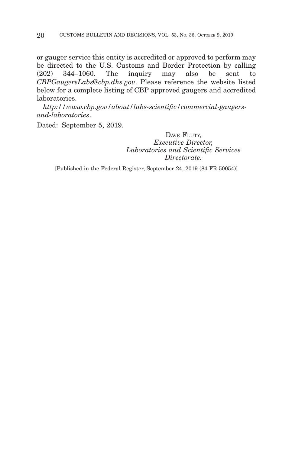or gauger service this entity is accredited or approved to perform may be directed to the U.S. Customs and Border Protection by calling (202) 344–1060. The inquiry may also be sent to *CBPGaugersLabs@cbp.dhs.gov*. Please reference the website listed below for a complete listing of CBP approved gaugers and accredited laboratories.

*http://www.cbp.gov/about/labs-scientific/commercial-gaugersand-laboratories*.

Dated: September 5, 2019.

DAVE FLUTY, *Executive Director, Laboratories and Scientific Services Directorate.*

[Published in the Federal Register, September 24, 2019 (84 FR 50054)]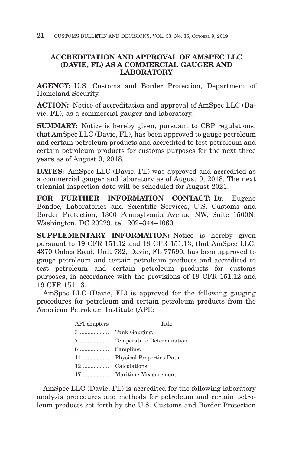# **ACCREDITATION AND APPROVAL OF AMSPEC LLC (DAVIE, FL) AS A COMMERCIAL GAUGER AND LABORATORY**

**AGENCY:** U.S. Customs and Border Protection, Department of Homeland Security.

**ACTION:** Notice of accreditation and approval of AmSpec LLC (Davie, FL), as a commercial gauger and laboratory.

**SUMMARY:** Notice is hereby given, pursuant to CBP regulations, that AmSpec LLC (Davie, FL), has been approved to gauge petroleum and certain petroleum products and accredited to test petroleum and certain petroleum products for customs purposes for the next three years as of August 9, 2018.

**DATES:** AmSpec LLC (Davie, FL) was approved and accredited as a commercial gauger and laboratory as of August 9, 2018. The next triennial inspection date will be scheduled for August 2021.

**FOR FURTHER INFORMATION CONTACT:** Dr. Eugene Bondoc, Laboratories and Scientific Services, U.S. Customs and Border Protection, 1300 Pennsylvania Avenue NW, Suite 1500N, Washington, DC 20229, tel. 202–344–1060.

**SUPPLEMENTARY INFORMATION:** Notice is hereby given pursuant to 19 CFR 151.12 and 19 CFR 151.13, that AmSpec LLC, 4370 Oakes Road, Unit 732, Davie, FL 77590, has been approved to gauge petroleum and certain petroleum products and accredited to test petroleum and certain petroleum products for customs purposes, in accordance with the provisions of 19 CFR 151.12 and 19 CFR 151.13.

AmSpec LLC (Davie, FL) is approved for the following gauging procedures for petroleum and certain petroleum products from the American Petroleum Institute (API):

| API chapters | Title                       |
|--------------|-----------------------------|
|              | 3    Tank Gauging.          |
|              |                             |
|              |                             |
|              |                             |
|              |                             |
|              | 17    Maritime Measurement. |
|              |                             |

AmSpec LLC (Davie, FL) is accredited for the following laboratory analysis procedures and methods for petroleum and certain petroleum products set forth by the U.S. Customs and Border Protection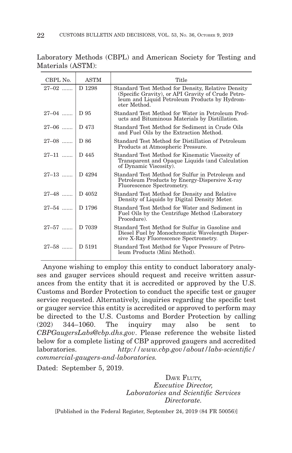| CBPL No.           | <b>ASTM</b> | Title                                                                                                                                                                     |
|--------------------|-------------|---------------------------------------------------------------------------------------------------------------------------------------------------------------------------|
| $27-02$            | D 1298      | Standard Test Method for Density, Relative Density<br>(Specific Gravity), or API Gravity of Crude Petro-<br>leum and Liquid Petroleum Products by Hydrom-<br>eter Method. |
| 27-04    D 95      |             | Standard Test Method for Water in Petroleum Prod-<br>ucts and Bituminous Materials by Distillation.                                                                       |
| $27-06$   D 473    |             | Standard Test Method for Sediment in Crude Oils<br>and Fuel Oils by the Extraction Method.                                                                                |
| $27-08$   D 86     |             | Standard Test Method for Distillation of Petroleum<br>Products at Atmospheric Pressure.                                                                                   |
| $27-11$   D 445    |             | Standard Test Method for Kinematic Viscosity of<br>Transparent and Opaque Liquids (and Calculation<br>of Dynamic Viscosity).                                              |
| 27-13    D 4294    |             | Standard Test Method for Sulfur in Petroleum and<br>Petroleum Products by Energy-Dispersive X-ray<br>Fluorescence Spectrometry.                                           |
| $27-48$ D 4052     |             | Standard Test Method for Density and Relative<br>Density of Liquids by Digital Density Meter.                                                                             |
| $27 - 54$ D 1796   |             | Standard Test Method for Water and Sediment in<br>Fuel Oils by the Centrifuge Method (Laboratory<br>Procedure).                                                           |
| $27 - 57$ D 7039   |             | Standard Test Method for Sulfur in Gasoline and<br>Diesel Fuel by Monochromatic Wavelength Disper-<br>sive X-Ray Fluorescence Spectrometry.                               |
| $27 - 58$   D 5191 |             | Standard Test Method for Vapor Pressure of Petro-<br>leum Products (Mini Method).                                                                                         |

Laboratory Methods (CBPL) and American Society for Testing and Materials (ASTM):

Anyone wishing to employ this entity to conduct laboratory analyses and gauger services should request and receive written assurances from the entity that it is accredited or approved by the U.S. Customs and Border Protection to conduct the specific test or gauger service requested. Alternatively, inquiries regarding the specific test or gauger service this entity is accredited or approved to perform may be directed to the U.S. Customs and Border Protection by calling (202) 344–1060. The inquiry may also be sent to *CBPGaugersLabs@cbp.dhs.gov*. Please reference the website listed below for a complete listing of CBP approved gaugers and accredited laboratories. *http://www.cbp.gov/about/labs-scientific/ commercial-gaugers-and-laboratories.*

Dated: September 5, 2019.

DAVE FLUTY, *Executive Director, Laboratories and Scientific Services Directorate.*

[Published in the Federal Register, September 24, 2019 (84 FR 50056)]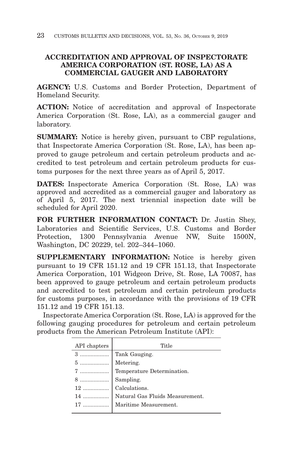# **ACCREDITATION AND APPROVAL OF INSPECTORATE AMERICA CORPORATION (ST. ROSE, LA) AS A COMMERCIAL GAUGER AND LABORATORY**

**AGENCY:** U.S. Customs and Border Protection, Department of Homeland Security.

**ACTION:** Notice of accreditation and approval of Inspectorate America Corporation (St. Rose, LA), as a commercial gauger and laboratory.

**SUMMARY:** Notice is hereby given, pursuant to CBP regulations, that Inspectorate America Corporation (St. Rose, LA), has been approved to gauge petroleum and certain petroleum products and accredited to test petroleum and certain petroleum products for customs purposes for the next three years as of April 5, 2017.

**DATES:** Inspectorate America Corporation (St. Rose, LA) was approved and accredited as a commercial gauger and laboratory as of April 5, 2017. The next triennial inspection date will be scheduled for April 2020.

**FOR FURTHER INFORMATION CONTACT:** Dr. Justin Shey, Laboratories and Scientific Services, U.S. Customs and Border Protection, 1300 Pennsylvania Avenue NW, Suite 1500N, Washington, DC 20229, tel. 202–344–1060.

**SUPPLEMENTARY INFORMATION:** Notice is hereby given pursuant to 19 CFR 151.12 and 19 CFR 151.13, that Inspectorate America Corporation, 101 Widgeon Drive, St. Rose, LA 70087, has been approved to gauge petroleum and certain petroleum products and accredited to test petroleum and certain petroleum products for customs purposes, in accordance with the provisions of 19 CFR 151.12 and 19 CFR 151.13.

Inspectorate America Corporation (St. Rose, LA) is approved for the following gauging procedures for petroleum and certain petroleum products from the American Petroleum Institute (API):

| API chapters                                                                                                                                                                                                         | Title                                 |
|----------------------------------------------------------------------------------------------------------------------------------------------------------------------------------------------------------------------|---------------------------------------|
| 3                                                                                                                                                                                                                    | Tank Gauging.                         |
| $5$                                                                                                                                                                                                                  | Metering.                             |
|                                                                                                                                                                                                                      | 7  Temperature Determination.         |
| $\begin{array}{c c c} \hline \mathbf{8} \dots \dots \dots \dots \dots \dots \dots \dots \quad \textbf{Sampling.} \\ \hline \mathbf{12} \dots \dots \dots \dots \dots \dots \quad \textbf{Calculations.} \end{array}$ |                                       |
|                                                                                                                                                                                                                      |                                       |
|                                                                                                                                                                                                                      | 14    Natural Gas Fluids Measurement. |
|                                                                                                                                                                                                                      | Maritime Measurement.                 |
|                                                                                                                                                                                                                      |                                       |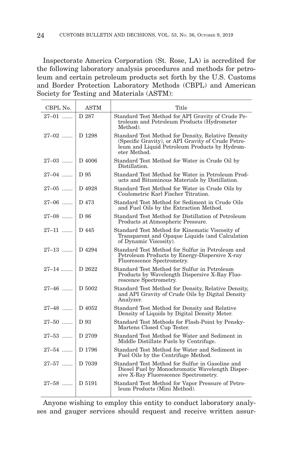Inspectorate America Corporation (St. Rose, LA) is accredited for the following laboratory analysis procedures and methods for petroleum and certain petroleum products set forth by the U.S. Customs and Border Protection Laboratory Methods (CBPL) and American Society for Testing and Materials (ASTM):

| CBPL No.        | <b>ASTM</b> | Title                                                                                                                                                                     |
|-----------------|-------------|---------------------------------------------------------------------------------------------------------------------------------------------------------------------------|
| $27 - 01$       | D 287       | Standard Test Method for API Gravity of Crude Pe-<br>troleum and Petroleum Products (Hydrometer<br>Method).                                                               |
| $27 - 02$       | D 1298      | Standard Test Method for Density, Relative Density<br>(Specific Gravity), or API Gravity of Crude Petro-<br>leum and Liquid Petroleum Products by Hydrom-<br>eter Method. |
| $27 - 03$       | D 4006      | Standard Test Method for Water in Crude Oil by<br>Distillation.                                                                                                           |
| $27 - 04$       | D 95        | Standard Test Method for Water in Petroleum Prod-<br>ucts and Bituminous Materials by Distillation.                                                                       |
| $27 - 05$       | D 4928      | Standard Test Method for Water in Crude Oils by<br>Coulometric Karl Fischer Titration.                                                                                    |
| $27 - 06$       | D 473       | Standard Test Method for Sediment in Crude Oils<br>and Fuel Oils by the Extraction Method.                                                                                |
| $27\text{--}08$ | D 86        | Standard Test Method for Distillation of Petroleum<br>Products at Atmospheric Pressure.                                                                                   |
| $27 - 11$       | D 445       | Standard Test Method for Kinematic Viscosity of<br>Transparent and Opaque Liquids (and Calculation<br>of Dynamic Viscosity).                                              |
| $27-13$         | D 4294      | Standard Test Method for Sulfur in Petroleum and<br>Petroleum Products by Energy-Dispersive X-ray<br>Fluorescence Spectrometry.                                           |
| $27 - 14$       | D 2622      | Standard Test Method for Sulfur in Petroleum<br>Products by Wavelength Dispersive X-Ray Fluo-<br>rescence Spectrometry.                                                   |
| $27 - 46$       | D 5002      | Standard Test Method for Density, Relative Density,<br>and API Gravity of Crude Oils by Digital Density<br>Analyzer.                                                      |
| $27 - 48$       | D 4052      | Standard Test Method for Density and Relative<br>Density of Liquids by Digital Density Meter.                                                                             |
| $27 - 50$       | D 93        | Standard Test Methods for Flash-Point by Pensky-<br>Martens Closed Cup Tester.                                                                                            |
| $27 - 53$       | D 2709      | Standard Test Method for Water and Sediment in<br>Middle Distillate Fuels by Centrifuge.                                                                                  |
| $27 - 54$       | D 1796      | Standard Test Method for Water and Sediment in<br>Fuel Oils by the Centrifuge Method.                                                                                     |
| $27 - 57$       | D 7039      | Standard Test Method for Sulfur in Gasoline and<br>Diesel Fuel by Monochromatic Wavelength Disper-<br>sive X-Ray Fluorescence Spectrometry.                               |
| $27 - 58$       | D 5191      | Standard Test Method for Vapor Pressure of Petro-<br>leum Products (Mini Method).                                                                                         |

Anyone wishing to employ this entity to conduct laboratory analyses and gauger services should request and receive written assur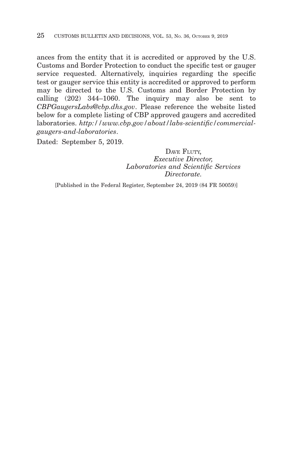ances from the entity that it is accredited or approved by the U.S. Customs and Border Protection to conduct the specific test or gauger service requested. Alternatively, inquiries regarding the specific test or gauger service this entity is accredited or approved to perform may be directed to the U.S. Customs and Border Protection by calling (202) 344–1060. The inquiry may also be sent to *CBPGaugersLabs@cbp.dhs.gov*. Please reference the website listed below for a complete listing of CBP approved gaugers and accredited laboratories. *http://www.cbp.gov/about/labs-scientific/commercialgaugers-and-laboratories*.

Dated: September 5, 2019.

DAVE FLUTY, *Executive Director, Laboratories and Scientific Services Directorate.*

[Published in the Federal Register, September 24, 2019 (84 FR 50059)]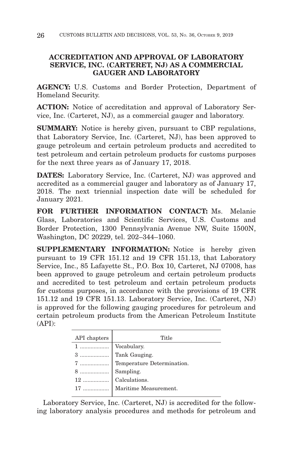# **ACCREDITATION AND APPROVAL OF LABORATORY SERVICE, INC. (CARTERET, NJ) AS A COMMERCIAL GAUGER AND LABORATORY**

**AGENCY:** U.S. Customs and Border Protection, Department of Homeland Security.

**ACTION:** Notice of accreditation and approval of Laboratory Service, Inc. (Carteret, NJ), as a commercial gauger and laboratory.

**SUMMARY:** Notice is hereby given, pursuant to CBP regulations, that Laboratory Service, Inc. (Carteret, NJ), has been approved to gauge petroleum and certain petroleum products and accredited to test petroleum and certain petroleum products for customs purposes for the next three years as of January 17, 2018.

**DATES:** Laboratory Service, Inc. (Carteret, NJ) was approved and accredited as a commercial gauger and laboratory as of January 17, 2018. The next triennial inspection date will be scheduled for January 2021.

**FOR FURTHER INFORMATION CONTACT:** Ms. Melanie Glass, Laboratories and Scientific Services, U.S. Customs and Border Protection, 1300 Pennsylvania Avenue NW, Suite 1500N, Washington, DC 20229, tel. 202–344–1060.

**SUPPLEMENTARY INFORMATION:** Notice is hereby given pursuant to 19 CFR 151.12 and 19 CFR 151.13, that Laboratory Service, Inc., 85 Lafayette St., P.O. Box 10, Carteret, NJ 07008, has been approved to gauge petroleum and certain petroleum products and accredited to test petroleum and certain petroleum products for customs purposes, in accordance with the provisions of 19 CFR 151.12 and 19 CFR 151.13. Laboratory Service, Inc. (Carteret, NJ) is approved for the following gauging procedures for petroleum and certain petroleum products from the American Petroleum Institute (API):

| API chapters | Title                                                                                                                                                                                                                                                                                                                                                                                                                                                                                     |
|--------------|-------------------------------------------------------------------------------------------------------------------------------------------------------------------------------------------------------------------------------------------------------------------------------------------------------------------------------------------------------------------------------------------------------------------------------------------------------------------------------------------|
|              |                                                                                                                                                                                                                                                                                                                                                                                                                                                                                           |
|              |                                                                                                                                                                                                                                                                                                                                                                                                                                                                                           |
|              |                                                                                                                                                                                                                                                                                                                                                                                                                                                                                           |
|              |                                                                                                                                                                                                                                                                                                                                                                                                                                                                                           |
|              |                                                                                                                                                                                                                                                                                                                                                                                                                                                                                           |
|              | $\begin{tabular}{ c c } \hline 1 & \ldots & \ldots & \ldots & \ldots \\ \hline 3 & \ldots & \ldots & \ldots & \ldots \\ \hline 7 & \ldots & \ldots & \ldots & \ldots \\ \hline 8 & \ldots & \ldots & \ldots & \ldots \\ \hline 8 & \ldots & \ldots & \ldots & \ldots \\ \hline 12 & \ldots & \ldots & \ldots & \ldots \\ \hline 17 & \ldots & \ldots & \ldots & \ldots \\ \hline \end{tabular} \begin{tabular}{ c c } \hline Vocalary. \\ \hline \end{tabular} \begin{tabular}{ c c } \h$ |
|              |                                                                                                                                                                                                                                                                                                                                                                                                                                                                                           |

Laboratory Service, Inc. (Carteret, NJ) is accredited for the following laboratory analysis procedures and methods for petroleum and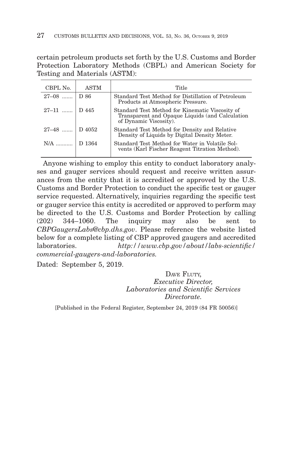certain petroleum products set forth by the U.S. Customs and Border Protection Laboratory Methods (CBPL) and American Society for Testing and Materials (ASTM):

| CBPL No.         | <b>ASTM</b> | Title                                                                                                                        |
|------------------|-------------|------------------------------------------------------------------------------------------------------------------------------|
| $27-08$   D 86   |             | Standard Test Method for Distillation of Petroleum<br>Products at Atmospheric Pressure.                                      |
| $27-11$   D 445  |             | Standard Test Method for Kinematic Viscosity of<br>Transparent and Opaque Liquids (and Calculation<br>of Dynamic Viscosity). |
| $27-48$   D 4052 |             | Standard Test Method for Density and Relative<br>Density of Liquids by Digital Density Meter.                                |
| $N/A$            | D 1364      | Standard Test Method for Water in Volatile Sol-<br>vents (Karl Fischer Reagent Titration Method).                            |

Anyone wishing to employ this entity to conduct laboratory analyses and gauger services should request and receive written assurances from the entity that it is accredited or approved by the U.S. Customs and Border Protection to conduct the specific test or gauger service requested. Alternatively, inquiries regarding the specific test or gauger service this entity is accredited or approved to perform may be directed to the U.S. Customs and Border Protection by calling (202) 344–1060. The inquiry may also be sent to *CBPGaugersLabs@cbp.dhs.gov*. Please reference the website listed below for a complete listing of CBP approved gaugers and accredited laboratories. *http://www.cbp.gov/about/labs-scientific/ commercial-gaugers-and-laboratories.*

Dated: September 5, 2019.

## DAVE FLUTY. *Executive Director, Laboratories and Scientific Services Directorate.*

[Published in the Federal Register, September 24, 2019 (84 FR 50056)]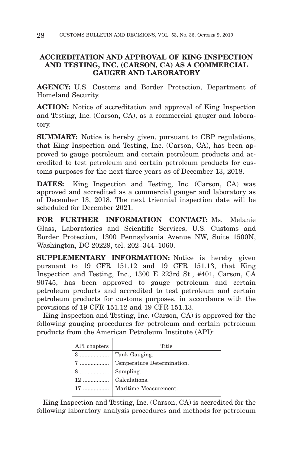# **ACCREDITATION AND APPROVAL OF KING INSPECTION AND TESTING, INC. (CARSON, CA) AS A COMMERCIAL GAUGER AND LABORATORY**

**AGENCY:** U.S. Customs and Border Protection, Department of Homeland Security.

**ACTION:** Notice of accreditation and approval of King Inspection and Testing, Inc. (Carson, CA), as a commercial gauger and laboratory.

**SUMMARY:** Notice is hereby given, pursuant to CBP regulations, that King Inspection and Testing, Inc. (Carson, CA), has been approved to gauge petroleum and certain petroleum products and accredited to test petroleum and certain petroleum products for customs purposes for the next three years as of December 13, 2018.

**DATES:** King Inspection and Testing, Inc. (Carson, CA) was approved and accredited as a commercial gauger and laboratory as of December 13, 2018. The next triennial inspection date will be scheduled for December 2021.

**FOR FURTHER INFORMATION CONTACT:** Ms. Melanie Glass, Laboratories and Scientific Services, U.S. Customs and Border Protection, 1300 Pennsylvania Avenue NW, Suite 1500N, Washington, DC 20229, tel. 202–344–1060.

**SUPPLEMENTARY INFORMATION:** Notice is hereby given pursuant to 19 CFR 151.12 and 19 CFR 151.13, that King Inspection and Testing, Inc., 1300 E 223rd St., #401, Carson, CA 90745, has been approved to gauge petroleum and certain petroleum products and accredited to test petroleum and certain petroleum products for customs purposes, in accordance with the provisions of 19 CFR 151.12 and 19 CFR 151.13.

King Inspection and Testing, Inc. (Carson, CA) is approved for the following gauging procedures for petroleum and certain petroleum products from the American Petroleum Institute (API):

| API chapters | Title                       |
|--------------|-----------------------------|
|              |                             |
|              |                             |
|              |                             |
|              |                             |
|              | 17    Maritime Measurement. |
|              |                             |

King Inspection and Testing, Inc. (Carson, CA) is accredited for the following laboratory analysis procedures and methods for petroleum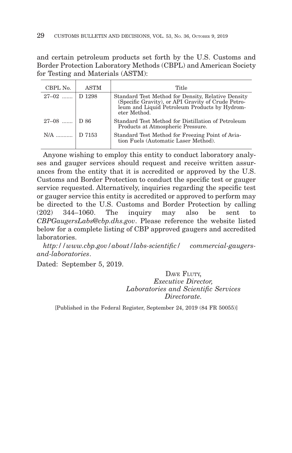and certain petroleum products set forth by the U.S. Customs and Border Protection Laboratory Methods (CBPL) and American Society for Testing and Materials (ASTM):

| CBPL No.       | <b>ASTM</b> | Title                                                                                                                                                                     |
|----------------|-------------|---------------------------------------------------------------------------------------------------------------------------------------------------------------------------|
| $27-02$ D 1298 |             | Standard Test Method for Density, Relative Density<br>(Specific Gravity), or API Gravity of Crude Petro-<br>leum and Liquid Petroleum Products by Hydrom-<br>eter Method. |
| $27-08$ D 86   |             | Standard Test Method for Distillation of Petroleum<br>Products at Atmospheric Pressure.                                                                                   |
| N/A    D 7153  |             | Standard Test Method for Freezing Point of Avia-<br>tion Fuels (Automatic Laser Method).                                                                                  |

Anyone wishing to employ this entity to conduct laboratory analyses and gauger services should request and receive written assurances from the entity that it is accredited or approved by the U.S. Customs and Border Protection to conduct the specific test or gauger service requested. Alternatively, inquiries regarding the specific test or gauger service this entity is accredited or approved to perform may be directed to the U.S. Customs and Border Protection by calling  $(202)$  344–1060. The inquiry may also be sent *CBPGaugersLabs@cbp.dhs.gov*. Please reference the website listed below for a complete listing of CBP approved gaugers and accredited laboratories.

*http://www.cbp.gov/about/labs-scientific/ commercial-gaugersand-laboratories*.

Dated: September 5, 2019.

DAVE FLUTY. *Executive Director, Laboratories and Scientific Services Directorate.*

[Published in the Federal Register, September 24, 2019 (84 FR 50055)]